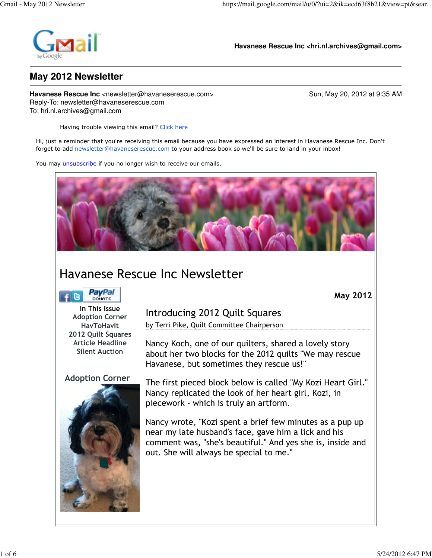

в

**Havanese Rescue Inc <hri.nl.archives@gmail.com>**

# **May 2012 Newsletter**

**Havanese Rescue Inc** <newsletter@havaneserescue.com> Sun, May 20, 2012 at 9:35 AM Reply-To: newsletter@havaneserescue.com To: hri.nl.archives@gmail.com

Having trouble viewing this email? Click here

Hi, just a reminder that you're receiving this email because you have expressed an interest in Havanese Rescue Inc. Don't forget to add newsletter@havaneserescue.com to your address book so we'll be sure to land in your inbox!

You may unsubscribe if you no longer wish to receive our emails.



# Havanese Rescue Inc Newsletter

| PavPal                                                                                                                                 | <b>May 2012</b>                                                                                                                                                                                                           |
|----------------------------------------------------------------------------------------------------------------------------------------|---------------------------------------------------------------------------------------------------------------------------------------------------------------------------------------------------------------------------|
| In This Issue<br><b>Adoption Corner</b><br><b>HavToHavlt</b><br>2012 Quilt Squares<br><b>Article Headline</b><br><b>Silent Auction</b> | Introducing 2012 Quilt Squares                                                                                                                                                                                            |
|                                                                                                                                        | by Terri Pike, Quilt Committee Chairperson                                                                                                                                                                                |
|                                                                                                                                        | Nancy Koch, one of our quilters, shared a lovely story<br>about her two blocks for the 2012 quilts "We may rescue<br>Havanese, but sometimes they rescue us!"                                                             |
| <b>Adoption Corner</b>                                                                                                                 | The first pieced block below is called "My Kozi Heart Girl."<br>Nancy replicated the look of her heart girl, Kozi, in<br>piecework - which is truly an artform.                                                           |
|                                                                                                                                        | Nancy wrote, "Kozi spent a brief few minutes as a pup up<br>near my late husband's face, gave him a lick and his<br>comment was, "she's beautiful." And yes she is, inside and<br>out. She will always be special to me." |
|                                                                                                                                        |                                                                                                                                                                                                                           |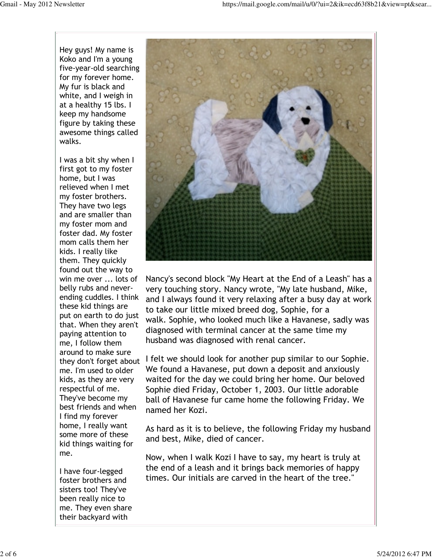Hey guys! My name is Koko and I'm a young five-year-old searching for my forever home. My fur is black and white, and I weigh in at a healthy 15 lbs. I keep my handsome figure by taking these awesome things called walks.

I was a bit shy when I first got to my foster home, but I was relieved when I met my foster brothers. They have two legs and are smaller than my foster mom and foster dad. My foster mom calls them her kids. I really like them. They quickly found out the way to win me over ... lots of belly rubs and neverending cuddles. I think these kid things are put on earth to do just that. When they aren't paying attention to me, I follow them around to make sure they don't forget about me. I'm used to older kids, as they are very respectful of me. They've become my best friends and when I find my forever home, I really want some more of these kid things waiting for me.

I have four-legged foster brothers and sisters too! They've been really nice to me. They even share their backyard with



Nancy's second block "My Heart at the End of a Leash" has a very touching story. Nancy wrote, "My late husband, Mike, and I always found it very relaxing after a busy day at work to take our little mixed breed dog, Sophie, for a walk. Sophie, who looked much like a Havanese, sadly was diagnosed with terminal cancer at the same time my husband was diagnosed with renal cancer.

I felt we should look for another pup similar to our Sophie. We found a Havanese, put down a deposit and anxiously waited for the day we could bring her home. Our beloved Sophie died Friday, October 1, 2003. Our little adorable ball of Havanese fur came home the following Friday. We named her Kozi.

As hard as it is to believe, the following Friday my husband and best, Mike, died of cancer.

Now, when I walk Kozi I have to say, my heart is truly at the end of a leash and it brings back memories of happy times. Our initials are carved in the heart of the tree."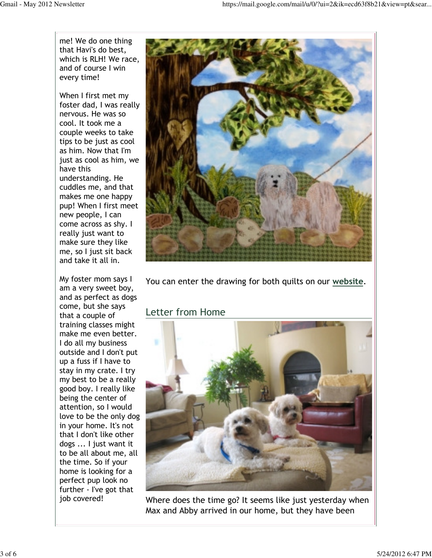me! We do one thing that Havi's do best, which is RLH! We race, and of course I win every time!

When I first met my foster dad, I was really nervous. He was so cool. It took me a couple weeks to take tips to be just as cool as him. Now that I'm just as cool as him, we have this understanding. He cuddles me, and that makes me one happy pup! When I first meet new people, I can come across as shy. I really just want to make sure they like me, so I just sit back and take it all in.

My foster mom says I am a very sweet boy, and as perfect as dogs come, but she says that a couple of training classes might make me even better. I do all my business outside and I don't put up a fuss if I have to stay in my crate. I try my best to be a really good boy. I really like being the center of attention, so I would love to be the only dog in your home. It's not that I don't like other dogs ... I just want it to be all about me, all the time. So if your home is looking for a perfect pup look no further - I've got that job covered!



You can enter the drawing for both quilts on our website.

## Letter from Home



Where does the time go? It seems like just yesterday when Max and Abby arrived in our home, but they have been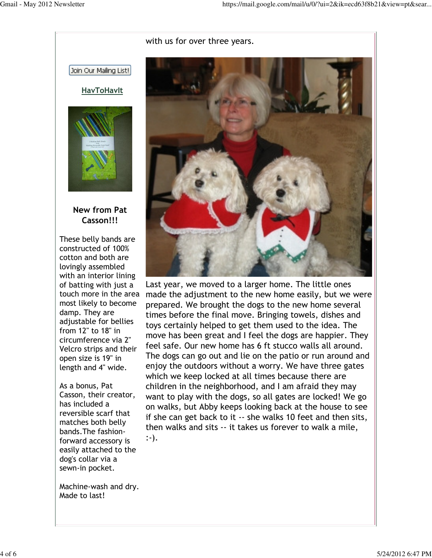## with us for over three years.



Last year, we moved to a larger home. The little ones made the adjustment to the new home easily, but we were prepared. We brought the dogs to the new home several times before the final move. Bringing towels, dishes and toys certainly helped to get them used to the idea. The move has been great and I feel the dogs are happier. They feel safe. Our new home has 6 ft stucco walls all around. The dogs can go out and lie on the patio or run around and enjoy the outdoors without a worry. We have three gates which we keep locked at all times because there are children in the neighborhood, and I am afraid they may want to play with the dogs, so all gates are locked! We go on walks, but Abby keeps looking back at the house to see if she can get back to it -- she walks 10 feet and then sits, then walks and sits -- it takes us forever to walk a mile, :-).

Join Our Mailing List!





## New from Pat Casson!!!

These belly bands are constructed of 100% cotton and both are lovingly assembled with an interior lining of batting with just a touch more in the area most likely to become damp. They are adjustable for bellies from 12" to 18" in circumference via 2" Velcro strips and their open size is 19" in length and 4" wide.

As a bonus, Pat Casson, their creator, has included a reversible scarf that matches both belly bands.The fashionforward accessory is easily attached to the dog's collar via a sewn-in pocket.

Machine-wash and dry. Made to last!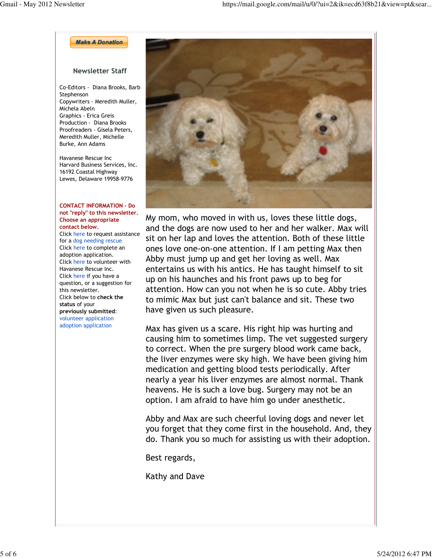**Make A Donation** 

## Newsletter Staff

Co-Editors - Diana Brooks, Barb Stephenson Copywriters - Meredith Muller, Michela Abeln Graphics - Erica Greis Production - Diana Brooks Proofreaders - Gisela Peters, Meredith Muller, Michelle Burke, Ann Adams

Havanese Rescue Inc Harvard Business Services, Inc. 16192 Coastal Highway Lewes, Delaware 19958-9776

#### CONTACT INFORMATION - Do not "reply" to this newsletter. Choose an appropriate contact below.

Click here to request assistance for a dog needing rescue Click here to complete an adoption application. Click here to volunteer with Havanese Rescue Inc. Click here if you have a question, or a suggestion for this newsletter. Click below to check the status of your previously submitted: volunteer application adoption application



My mom, who moved in with us, loves these little dogs, and the dogs are now used to her and her walker. Max will sit on her lap and loves the attention. Both of these little ones love one-on-one attention. If I am petting Max then Abby must jump up and get her loving as well. Max entertains us with his antics. He has taught himself to sit up on his haunches and his front paws up to beg for attention. How can you not when he is so cute. Abby tries to mimic Max but just can't balance and sit. These two have given us such pleasure.

Max has given us a scare. His right hip was hurting and causing him to sometimes limp. The vet suggested surgery to correct. When the pre surgery blood work came back, the liver enzymes were sky high. We have been giving him medication and getting blood tests periodically. After nearly a year his liver enzymes are almost normal. Thank heavens. He is such a love bug. Surgery may not be an option. I am afraid to have him go under anesthetic.

Abby and Max are such cheerful loving dogs and never let you forget that they come first in the household. And, they do. Thank you so much for assisting us with their adoption.

Best regards,

Kathy and Dave